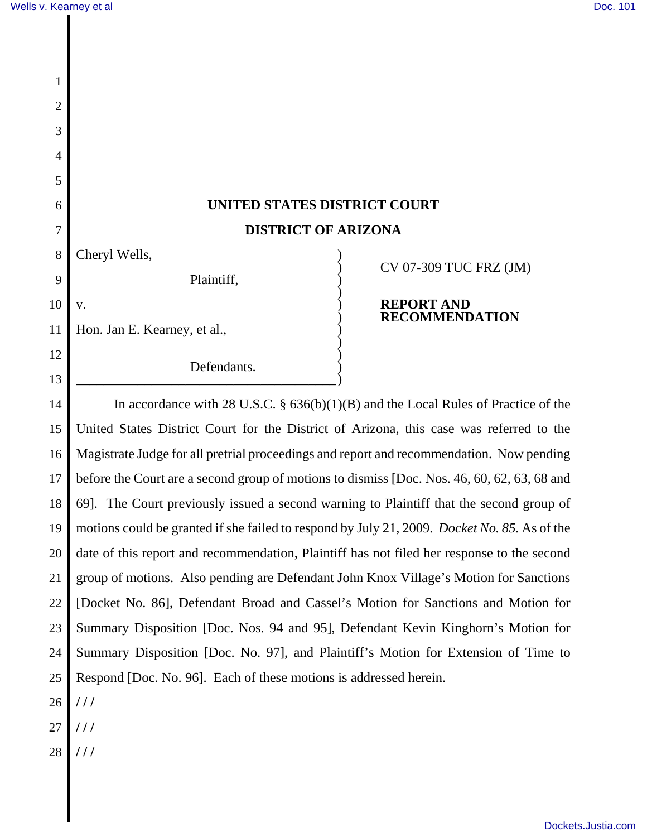| 1              |                                                                                              |                                            |
|----------------|----------------------------------------------------------------------------------------------|--------------------------------------------|
| $\overline{2}$ |                                                                                              |                                            |
| 3              |                                                                                              |                                            |
| 4              |                                                                                              |                                            |
| 5              |                                                                                              |                                            |
| 6              | UNITED STATES DISTRICT COURT                                                                 |                                            |
| 7              | <b>DISTRICT OF ARIZONA</b>                                                                   |                                            |
| 8              | Cheryl Wells,                                                                                | CV 07-309 TUC FRZ (JM)                     |
| 9              | Plaintiff,                                                                                   |                                            |
| 10             | V.                                                                                           | <b>REPORT AND</b><br><b>RECOMMENDATION</b> |
| 11             | Hon. Jan E. Kearney, et al.,                                                                 |                                            |
| 12             | Defendants.                                                                                  |                                            |
| 13             |                                                                                              |                                            |
| 14             | In accordance with 28 U.S.C. $\S$ 636(b)(1)(B) and the Local Rules of Practice of the        |                                            |
| 15             | United States District Court for the District of Arizona, this case was referred to the      |                                            |
| 16             | Magistrate Judge for all pretrial proceedings and report and recommendation. Now pending     |                                            |
| 17             | before the Court are a second group of motions to dismiss [Doc. Nos. 46, 60, 62, 63, 68 and  |                                            |
| 18             | 69]. The Court previously issued a second warning to Plaintiff that the second group of      |                                            |
| 19             | motions could be granted if she failed to respond by July 21, 2009. Docket No. 85. As of the |                                            |
| 20             | date of this report and recommendation, Plaintiff has not filed her response to the second   |                                            |
| 21             | group of motions. Also pending are Defendant John Knox Village's Motion for Sanctions        |                                            |
| 22             | [Docket No. 86], Defendant Broad and Cassel's Motion for Sanctions and Motion for            |                                            |
| 23             | Summary Disposition [Doc. Nos. 94 and 95], Defendant Kevin Kinghorn's Motion for             |                                            |
|                |                                                                                              |                                            |

24 Summary Disposition [Doc. No. 97], and Plaintiff's Motion for Extension of Time to

26 Respond [Doc. No. 96]. Each of these motions is addressed herein. **/ / /**

- 27 **/ / /**
- 28 **/ / /**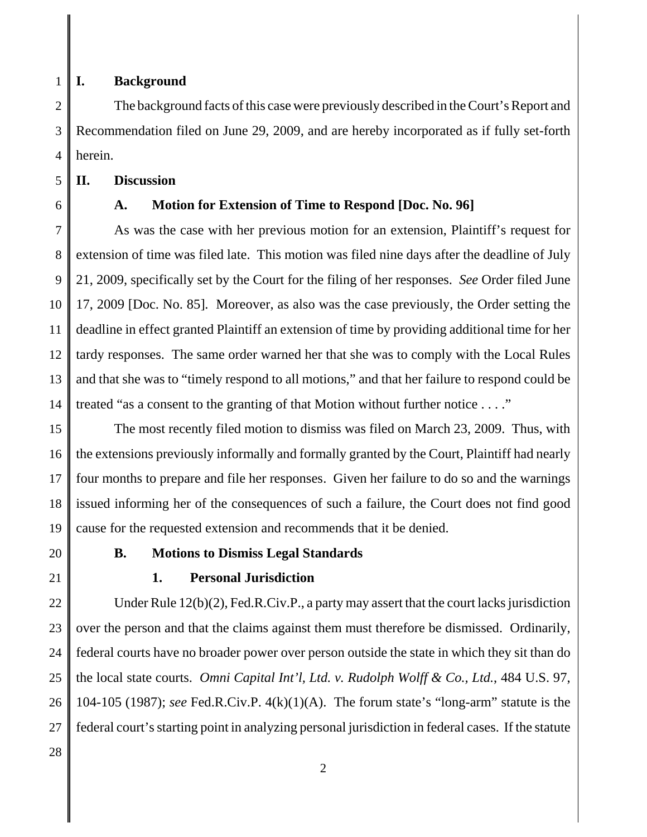1

#### **I. Background**

2 3 4 The background facts of this case were previously described in the Court's Report and Recommendation filed on June 29, 2009, and are hereby incorporated as if fully set-forth herein.

5 **II. Discussion**

6

## **A. Motion for Extension of Time to Respond [Doc. No. 96]**

7 8 9 10 11 12 13 14 As was the case with her previous motion for an extension, Plaintiff's request for extension of time was filed late. This motion was filed nine days after the deadline of July 21, 2009, specifically set by the Court for the filing of her responses. *See* Order filed June 17, 2009 [Doc. No. 85]. Moreover, as also was the case previously, the Order setting the deadline in effect granted Plaintiff an extension of time by providing additional time for her tardy responses. The same order warned her that she was to comply with the Local Rules and that she was to "timely respond to all motions," and that her failure to respond could be treated "as a consent to the granting of that Motion without further notice . . . ."

15 16 17 18 19 The most recently filed motion to dismiss was filed on March 23, 2009. Thus, with the extensions previously informally and formally granted by the Court, Plaintiff had nearly four months to prepare and file her responses. Given her failure to do so and the warnings issued informing her of the consequences of such a failure, the Court does not find good cause for the requested extension and recommends that it be denied.

- 20
- 21

### **B. Motions to Dismiss Legal Standards**

### **1. Personal Jurisdiction**

22 23 24 25 26 27 28 Under Rule 12(b)(2), Fed.R.Civ.P., a party may assert that the court lacks jurisdiction over the person and that the claims against them must therefore be dismissed. Ordinarily, federal courts have no broader power over person outside the state in which they sit than do the local state courts. *Omni Capital Int'l, Ltd. v. Rudolph Wolff & Co., Ltd.*, 484 U.S. 97, 104-105 (1987); *see* Fed.R.Civ.P. 4(k)(1)(A). The forum state's "long-arm" statute is the federal court's starting point in analyzing personal jurisdiction in federal cases. If the statute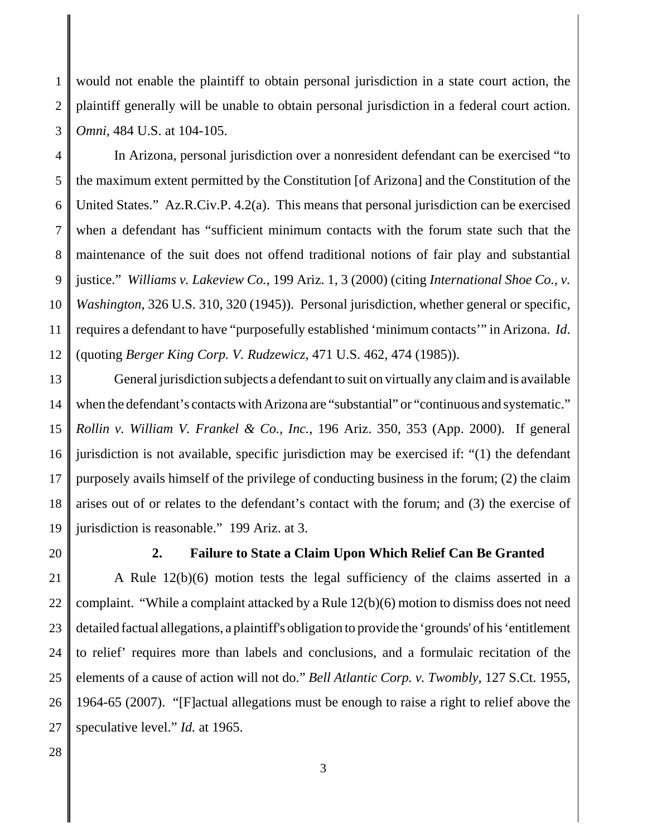1 2 3 would not enable the plaintiff to obtain personal jurisdiction in a state court action, the plaintiff generally will be unable to obtain personal jurisdiction in a federal court action. *Omni*, 484 U.S. at 104-105.

4 5 6 7 8 9 10 11 12 In Arizona, personal jurisdiction over a nonresident defendant can be exercised "to the maximum extent permitted by the Constitution [of Arizona] and the Constitution of the United States." Az.R.Civ.P. 4.2(a). This means that personal jurisdiction can be exercised when a defendant has "sufficient minimum contacts with the forum state such that the maintenance of the suit does not offend traditional notions of fair play and substantial justice." *Williams v. Lakeview Co.*, 199 Ariz. 1, 3 (2000) (citing *International Shoe Co., v. Washington*, 326 U.S. 310, 320 (1945)). Personal jurisdiction, whether general or specific, requires a defendant to have "purposefully established 'minimum contacts'" in Arizona. *Id*. (quoting *Berger King Corp. V. Rudzewicz*, 471 U.S. 462, 474 (1985)).

13 14 15 16 17 18 19 General jurisdiction subjects a defendant to suit on virtually any claim and is available when the defendant's contacts with Arizona are "substantial" or "continuous and systematic." *Rollin v. William V. Frankel & Co., Inc.*, 196 Ariz. 350, 353 (App. 2000). If general jurisdiction is not available, specific jurisdiction may be exercised if: "(1) the defendant purposely avails himself of the privilege of conducting business in the forum; (2) the claim arises out of or relates to the defendant's contact with the forum; and (3) the exercise of jurisdiction is reasonable." 199 Ariz. at 3.

20

### **2. Failure to State a Claim Upon Which Relief Can Be Granted**

21 22 23 24 25 26 27 A Rule 12(b)(6) motion tests the legal sufficiency of the claims asserted in a complaint. "While a complaint attacked by a Rule 12(b)(6) motion to dismiss does not need detailed factual allegations, a plaintiff's obligation to provide the 'grounds' of his 'entitlement to relief' requires more than labels and conclusions, and a formulaic recitation of the elements of a cause of action will not do." *Bell Atlantic Corp. v. Twombly,* 127 S.Ct. 1955, 1964-65 (2007). "[F]actual allegations must be enough to raise a right to relief above the speculative level." *Id.* at 1965.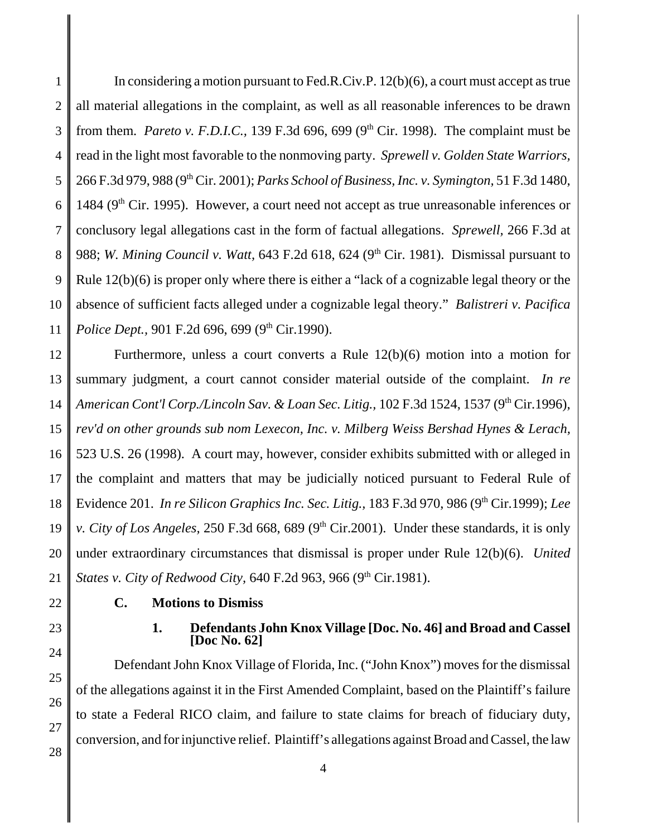1 2 3 4 5 6 7 8 9 10 11 In considering a motion pursuant to Fed.R.Civ.P. 12(b)(6), a court must accept as true all material allegations in the complaint, as well as all reasonable inferences to be drawn from them. *Pareto v. F.D.I.C.*, 139 F.3d 696, 699 (9<sup>th</sup> Cir. 1998). The complaint must be read in the light most favorable to the nonmoving party. *Sprewell v. Golden State Warriors,* 266 F.3d 979, 988 (9th Cir. 2001); *Parks School of Business, Inc. v. Symington,* 51 F.3d 1480, 1484 ( $9<sup>th</sup>$  Cir. 1995). However, a court need not accept as true unreasonable inferences or conclusory legal allegations cast in the form of factual allegations. *Sprewell,* 266 F.3d at 988; *W. Mining Council v. Watt,* 643 F.2d 618, 624 (9<sup>th</sup> Cir. 1981). Dismissal pursuant to Rule 12(b)(6) is proper only where there is either a "lack of a cognizable legal theory or the absence of sufficient facts alleged under a cognizable legal theory." *Balistreri v. Pacifica Police Dept.,* 901 F.2d 696, 699 (9<sup>th</sup> Cir.1990).

12 13 14 15 16 17 18 19 20 21 Furthermore, unless a court converts a Rule 12(b)(6) motion into a motion for summary judgment, a court cannot consider material outside of the complaint. *In re American Cont'l Corp./Lincoln Sav. & Loan Sec. Litig.,* 102 F.3d 1524, 1537 (9<sup>th</sup> Cir.1996), *rev'd on other grounds sub nom Lexecon, Inc. v. Milberg Weiss Bershad Hynes & Lerach,* 523 U.S. 26 (1998). A court may, however, consider exhibits submitted with or alleged in the complaint and matters that may be judicially noticed pursuant to Federal Rule of Evidence 201. *In re Silicon Graphics Inc. Sec. Litig.,* 183 F.3d 970, 986 (9th Cir.1999); *Lee v. City of Los Angeles,* 250 F.3d 668, 689 (9<sup>th</sup> Cir.2001). Under these standards, it is only under extraordinary circumstances that dismissal is proper under Rule 12(b)(6). *United States v. City of Redwood City, 640 F.2d 963, 966 (9<sup>th</sup> Cir.1981).* 

- 22
- 23 24

25

26

27

28

# **C. Motions to Dismiss**

**1. Defendants John Knox Village [Doc. No. 46] and Broad and Cassel [Doc No. 62]**

Defendant John Knox Village of Florida, Inc. ("John Knox") moves for the dismissal of the allegations against it in the First Amended Complaint, based on the Plaintiff's failure to state a Federal RICO claim, and failure to state claims for breach of fiduciary duty, conversion, and for injunctive relief. Plaintiff's allegations against Broad and Cassel, the law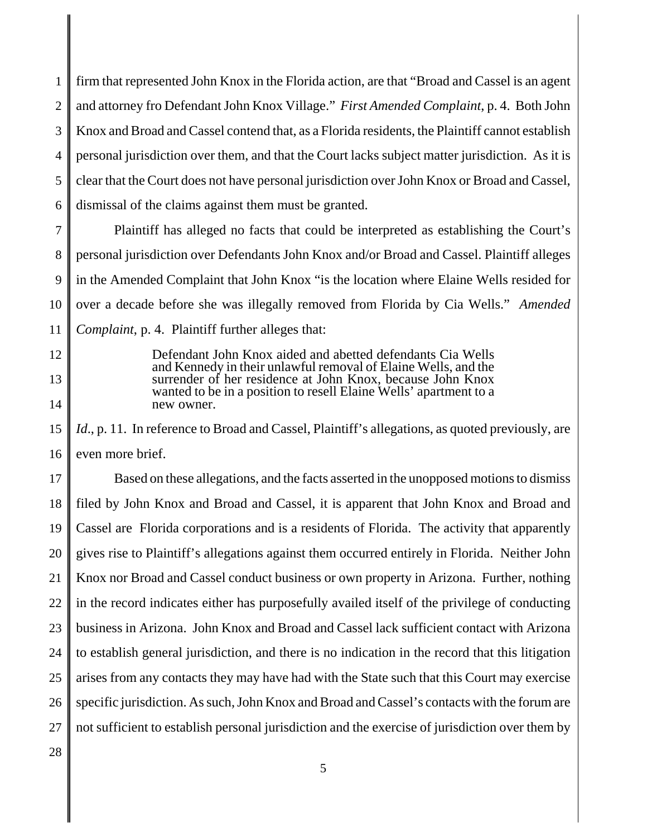1 2 3 4 5 6 firm that represented John Knox in the Florida action, are that "Broad and Cassel is an agent and attorney fro Defendant John Knox Village." *First Amended Complaint*, p. 4. Both John Knox and Broad and Cassel contend that, as a Florida residents, the Plaintiff cannot establish personal jurisdiction over them, and that the Court lacks subject matter jurisdiction. As it is clear that the Court does not have personal jurisdiction over John Knox or Broad and Cassel, dismissal of the claims against them must be granted.

7 8 9 10 11 Plaintiff has alleged no facts that could be interpreted as establishing the Court's personal jurisdiction over Defendants John Knox and/or Broad and Cassel. Plaintiff alleges in the Amended Complaint that John Knox "is the location where Elaine Wells resided for over a decade before she was illegally removed from Florida by Cia Wells." *Amended Complaint*, p. 4. Plaintiff further alleges that:

> Defendant John Knox aided and abetted defendants Cia Wells and Kennedy in their unlawful removal of Elaine Wells, and the surrender of her residence at John Knox, because John Knox wanted to be in a position to resell Elaine Wells' apartment to a new owner.

15 16 Id., p. 11. In reference to Broad and Cassel, Plaintiff's allegations, as quoted previously, are even more brief.

17 18 19 20 21 22 23 24 25 26 27 Based on these allegations, and the facts asserted in the unopposed motions to dismiss filed by John Knox and Broad and Cassel, it is apparent that John Knox and Broad and Cassel are Florida corporations and is a residents of Florida. The activity that apparently gives rise to Plaintiff's allegations against them occurred entirely in Florida. Neither John Knox nor Broad and Cassel conduct business or own property in Arizona. Further, nothing in the record indicates either has purposefully availed itself of the privilege of conducting business in Arizona. John Knox and Broad and Cassel lack sufficient contact with Arizona to establish general jurisdiction, and there is no indication in the record that this litigation arises from any contacts they may have had with the State such that this Court may exercise specific jurisdiction. As such, John Knox and Broad and Cassel's contacts with the forum are not sufficient to establish personal jurisdiction and the exercise of jurisdiction over them by

28

12

13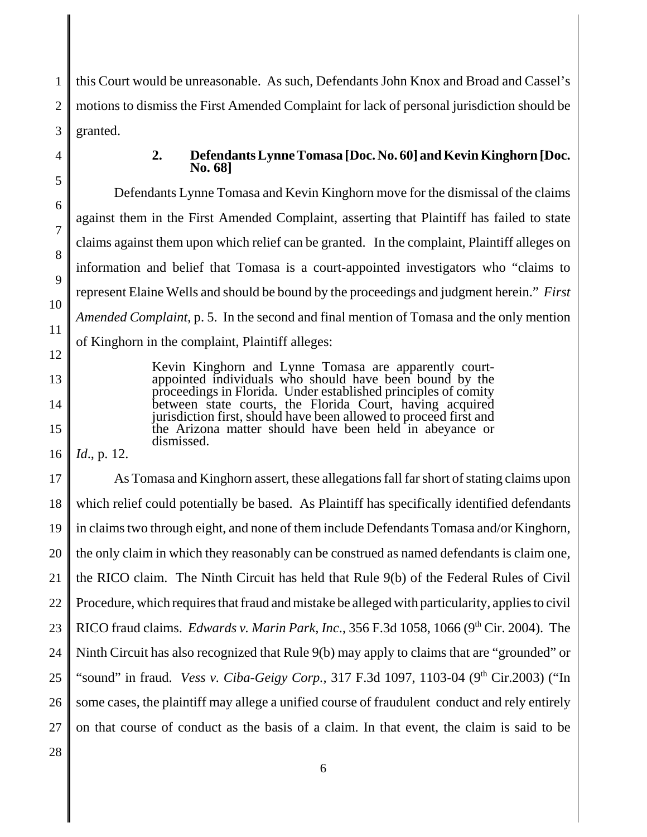1 2 3 this Court would be unreasonable. As such, Defendants John Knox and Broad and Cassel's motions to dismiss the First Amended Complaint for lack of personal jurisdiction should be granted.

9

10

11

12

13

14

15

### **2. Defendants Lynne Tomasa [Doc. No. 60] and Kevin Kinghorn [Doc. No. 68]**

Defendants Lynne Tomasa and Kevin Kinghorn move for the dismissal of the claims against them in the First Amended Complaint, asserting that Plaintiff has failed to state claims against them upon which relief can be granted. In the complaint, Plaintiff alleges on information and belief that Tomasa is a court-appointed investigators who "claims to represent Elaine Wells and should be bound by the proceedings and judgment herein." *First Amended Complaint*, p. 5. In the second and final mention of Tomasa and the only mention of Kinghorn in the complaint, Plaintiff alleges:

> Kevin Kinghorn and Lynne Tomasa are apparently courtappointed individuals who should have been bound by the proceedings in Florida. Under established principles of comity between state courts, the Florida Court, having acquired jurisdiction first, should have been allowed to proceed first and the Arizona matter should have been held in abeyance or dismissed.

16 *Id*., p. 12.

17 18 19 20 21 22 23 24 25 26 27 As Tomasa and Kinghorn assert, these allegations fall far short of stating claims upon which relief could potentially be based. As Plaintiff has specifically identified defendants in claims two through eight, and none of them include Defendants Tomasa and/or Kinghorn, the only claim in which they reasonably can be construed as named defendants is claim one, the RICO claim. The Ninth Circuit has held that Rule 9(b) of the Federal Rules of Civil Procedure, which requires that fraud and mistake be alleged with particularity, applies to civil RICO fraud claims. *Edwards v. Marin Park, Inc.*, 356 F.3d 1058, 1066 (9<sup>th</sup> Cir. 2004). The Ninth Circuit has also recognized that Rule 9(b) may apply to claims that are "grounded" or "sound" in fraud. *Vess v. Ciba-Geigy Corp.*, 317 F.3d 1097, 1103-04 (9<sup>th</sup> Cir.2003) ("In some cases, the plaintiff may allege a unified course of fraudulent conduct and rely entirely on that course of conduct as the basis of a claim. In that event, the claim is said to be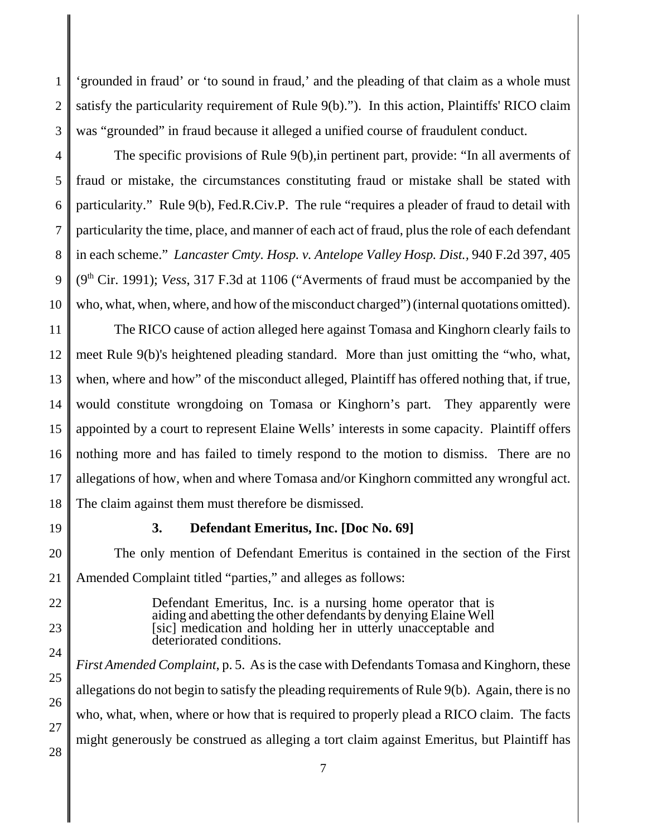1 2 3 'grounded in fraud' or 'to sound in fraud,' and the pleading of that claim as a whole must satisfy the particularity requirement of Rule 9(b)."). In this action, Plaintiffs' RICO claim was "grounded" in fraud because it alleged a unified course of fraudulent conduct.

4 5 6 7 8 9 10 The specific provisions of Rule 9(b),in pertinent part, provide: "In all averments of fraud or mistake, the circumstances constituting fraud or mistake shall be stated with particularity." Rule 9(b), Fed.R.Civ.P. The rule "requires a pleader of fraud to detail with particularity the time, place, and manner of each act of fraud, plus the role of each defendant in each scheme." *Lancaster Cmty. Hosp. v. Antelope Valley Hosp. Dist.,* 940 F.2d 397, 405 (9th Cir. 1991); *Vess*, 317 F.3d at 1106 ("Averments of fraud must be accompanied by the who, what, when, where, and how of the misconduct charged") (internal quotations omitted).

11 12 13 14 15 16 17 18 The RICO cause of action alleged here against Tomasa and Kinghorn clearly fails to meet Rule 9(b)'s heightened pleading standard. More than just omitting the "who, what, when, where and how" of the misconduct alleged, Plaintiff has offered nothing that, if true, would constitute wrongdoing on Tomasa or Kinghorn's part. They apparently were appointed by a court to represent Elaine Wells' interests in some capacity. Plaintiff offers nothing more and has failed to timely respond to the motion to dismiss. There are no allegations of how, when and where Tomasa and/or Kinghorn committed any wrongful act. The claim against them must therefore be dismissed.

19

### **3. Defendant Emeritus, Inc. [Doc No. 69]**

20 21 The only mention of Defendant Emeritus is contained in the section of the First Amended Complaint titled "parties," and alleges as follows:

- 22
- 23

24

25

26

27

28

Defendant Emeritus, Inc. is a nursing home operator that is aiding and abetting the other defendants by denying Elaine Well along and abount the building her in utterly unacceptable and deteriorated conditions.

*First Amended Complaint*, p. 5. As is the case with Defendants Tomasa and Kinghorn, these allegations do not begin to satisfy the pleading requirements of Rule 9(b). Again, there is no who, what, when, where or how that is required to properly plead a RICO claim. The facts might generously be construed as alleging a tort claim against Emeritus, but Plaintiff has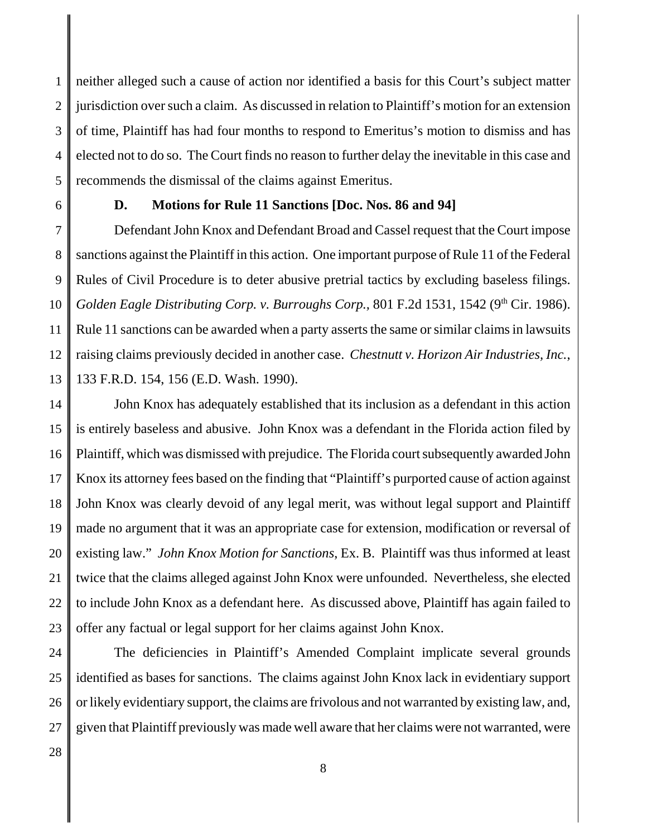1 2 3 4 5 neither alleged such a cause of action nor identified a basis for this Court's subject matter jurisdiction over such a claim. As discussed in relation to Plaintiff's motion for an extension of time, Plaintiff has had four months to respond to Emeritus's motion to dismiss and has elected not to do so. The Court finds no reason to further delay the inevitable in this case and recommends the dismissal of the claims against Emeritus.

6

## **D. Motions for Rule 11 Sanctions [Doc. Nos. 86 and 94]**

7 8 9 10 11 12 13 Defendant John Knox and Defendant Broad and Cassel request that the Court impose sanctions against the Plaintiff in this action. One important purpose of Rule 11 of the Federal Rules of Civil Procedure is to deter abusive pretrial tactics by excluding baseless filings. *Golden Eagle Distributing Corp. v. Burroughs Corp., 801 F.2d 1531, 1542 (9<sup>th</sup> Cir. 1986).* Rule 11 sanctions can be awarded when a party asserts the same or similar claims in lawsuits raising claims previously decided in another case. *Chestnutt v. Horizon Air Industries, Inc.*, 133 F.R.D. 154, 156 (E.D. Wash. 1990).

14 15 16 17 18 19 20 21 22 23 John Knox has adequately established that its inclusion as a defendant in this action is entirely baseless and abusive. John Knox was a defendant in the Florida action filed by Plaintiff, which was dismissed with prejudice. The Florida court subsequently awarded John Knox its attorney fees based on the finding that "Plaintiff's purported cause of action against John Knox was clearly devoid of any legal merit, was without legal support and Plaintiff made no argument that it was an appropriate case for extension, modification or reversal of existing law." *John Knox Motion for Sanctions*, Ex. B. Plaintiff was thus informed at least twice that the claims alleged against John Knox were unfounded. Nevertheless, she elected to include John Knox as a defendant here. As discussed above, Plaintiff has again failed to offer any factual or legal support for her claims against John Knox.

24 25 26 27 The deficiencies in Plaintiff's Amended Complaint implicate several grounds identified as bases for sanctions. The claims against John Knox lack in evidentiary support or likely evidentiary support, the claims are frivolous and not warranted by existing law, and, given that Plaintiff previously was made well aware that her claims were not warranted, were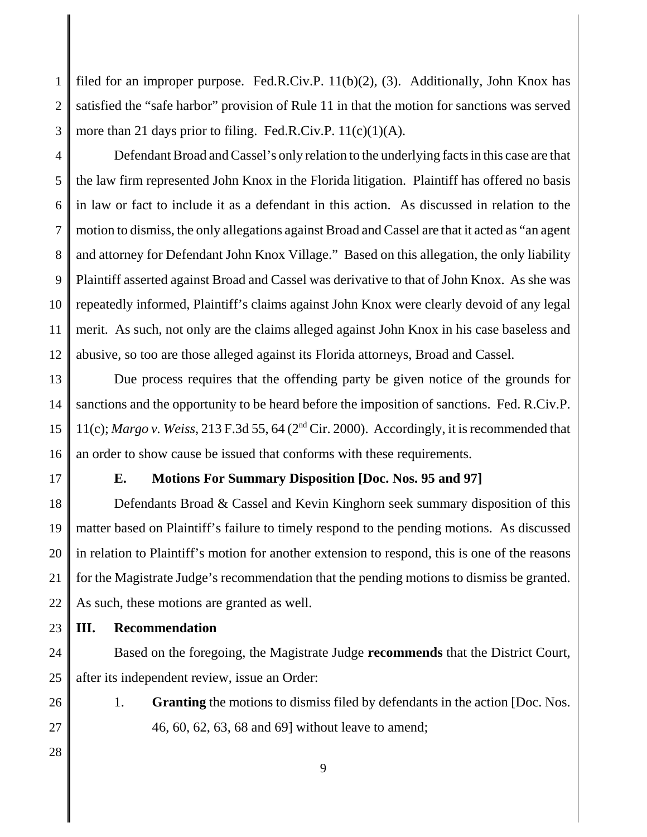1 2 3 filed for an improper purpose. Fed.R.Civ.P. 11(b)(2), (3). Additionally, John Knox has satisfied the "safe harbor" provision of Rule 11 in that the motion for sanctions was served more than 21 days prior to filing. Fed.R.Civ.P.  $11(c)(1)(A)$ .

4 5 6 7 8 9 10 11 12 Defendant Broad and Cassel's only relation to the underlying facts in this case are that the law firm represented John Knox in the Florida litigation. Plaintiff has offered no basis in law or fact to include it as a defendant in this action. As discussed in relation to the motion to dismiss, the only allegations against Broad and Cassel are that it acted as "an agent and attorney for Defendant John Knox Village." Based on this allegation, the only liability Plaintiff asserted against Broad and Cassel was derivative to that of John Knox. As she was repeatedly informed, Plaintiff's claims against John Knox were clearly devoid of any legal merit. As such, not only are the claims alleged against John Knox in his case baseless and abusive, so too are those alleged against its Florida attorneys, Broad and Cassel.

13 14 15 16 Due process requires that the offending party be given notice of the grounds for sanctions and the opportunity to be heard before the imposition of sanctions. Fed. R.Civ.P. 11(c); *Margo v. Weiss*, 213 F.3d 55, 64 (2nd Cir. 2000). Accordingly, it is recommended that an order to show cause be issued that conforms with these requirements.

17

## **E. Motions For Summary Disposition [Doc. Nos. 95 and 97]**

18 19 20 21 22 Defendants Broad & Cassel and Kevin Kinghorn seek summary disposition of this matter based on Plaintiff's failure to timely respond to the pending motions. As discussed in relation to Plaintiff's motion for another extension to respond, this is one of the reasons for the Magistrate Judge's recommendation that the pending motions to dismiss be granted. As such, these motions are granted as well.

23 **III. Recommendation**

24 25 Based on the foregoing, the Magistrate Judge **recommends** that the District Court, after its independent review, issue an Order:

- 1. **Granting** the motions to dismiss filed by defendants in the action [Doc. Nos. 46, 60, 62, 63, 68 and 69] without leave to amend;
- 28

26